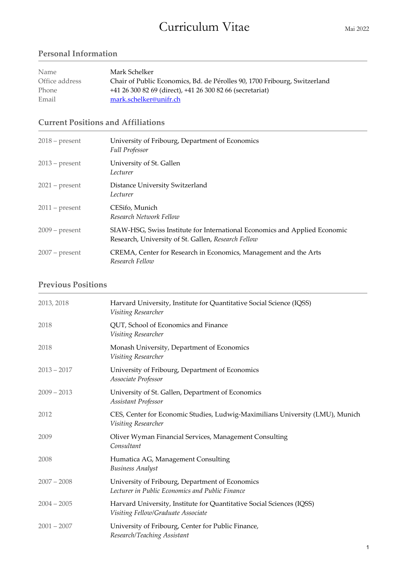# Curriculum Vitae Mai 2022

# **Personal Information**

| Name           | Mark Schelker                                                             |
|----------------|---------------------------------------------------------------------------|
| Office address | Chair of Public Economics, Bd. de Pérolles 90, 1700 Fribourg, Switzerland |
| Phone          | +41 26 300 82 69 (direct), +41 26 300 82 66 (secretariat)                 |
| Email          | mark.schelker@unifr.ch                                                    |

# **Current Positions and Affiliations**

| $2018$ – present | University of Fribourg, Department of Economics<br><b>Full Professor</b>                                                          |
|------------------|-----------------------------------------------------------------------------------------------------------------------------------|
| $2013$ – present | University of St. Gallen<br>Lecturer                                                                                              |
| $2021$ – present | Distance University Switzerland<br>Lecturer                                                                                       |
| $2011$ – present | CESifo, Munich<br>Research Network Fellow                                                                                         |
| $2009$ – present | SIAW-HSG, Swiss Institute for International Economics and Applied Economic<br>Research, University of St. Gallen, Research Fellow |
| $2007$ – present | CREMA, Center for Research in Economics, Management and the Arts<br>Research Fellow                                               |

# **Previous Positions**

| 2013, 2018    | Harvard University, Institute for Quantitative Social Science (IQSS)<br>Visiting Researcher                 |
|---------------|-------------------------------------------------------------------------------------------------------------|
| 2018          | QUT, School of Economics and Finance<br>Visiting Researcher                                                 |
| 2018          | Monash University, Department of Economics<br>Visiting Researcher                                           |
| $2013 - 2017$ | University of Fribourg, Department of Economics<br>Associate Professor                                      |
| $2009 - 2013$ | University of St. Gallen, Department of Economics<br>Assistant Professor                                    |
| 2012          | CES, Center for Economic Studies, Ludwig-Maximilians University (LMU), Munich<br>Visiting Researcher        |
| 2009          | Oliver Wyman Financial Services, Management Consulting<br>Consultant                                        |
| 2008          | Humatica AG, Management Consulting<br><b>Business Analyst</b>                                               |
| $2007 - 2008$ | University of Fribourg, Department of Economics<br>Lecturer in Public Economics and Public Finance          |
| $2004 - 2005$ | Harvard University, Institute for Quantitative Social Sciences (IQSS)<br>Visiting Fellow/Graduate Associate |
| $2001 - 2007$ | University of Fribourg, Center for Public Finance,<br>Research/Teaching Assistant                           |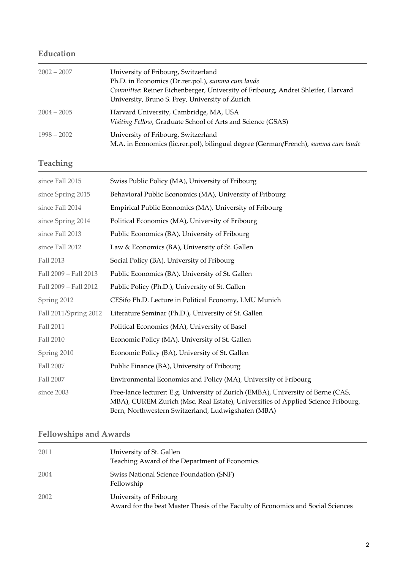# **Education**

| $2002 - 2007$ | University of Fribourg, Switzerland<br>Ph.D. in Economics (Dr.rer.pol.), summa cum laude<br>Committee: Reiner Eichenberger, University of Fribourg, Andrei Shleifer, Harvard<br>University, Bruno S. Frey, University of Zurich |
|---------------|---------------------------------------------------------------------------------------------------------------------------------------------------------------------------------------------------------------------------------|
| $2004 - 2005$ | Harvard University, Cambridge, MA, USA<br>Visiting Fellow, Graduate School of Arts and Science (GSAS)                                                                                                                           |
| $1998 - 2002$ | University of Fribourg, Switzerland<br>M.A. in Economics (lic.rer.pol), bilingual degree (German/French), summa cum laude                                                                                                       |

# **Teaching**

| since Fall 2015       | Swiss Public Policy (MA), University of Fribourg                                                                                                                                                                           |
|-----------------------|----------------------------------------------------------------------------------------------------------------------------------------------------------------------------------------------------------------------------|
| since Spring 2015     | Behavioral Public Economics (MA), University of Fribourg                                                                                                                                                                   |
| since Fall 2014       | Empirical Public Economics (MA), University of Fribourg                                                                                                                                                                    |
| since Spring 2014     | Political Economics (MA), University of Fribourg                                                                                                                                                                           |
| since Fall 2013       | Public Economics (BA), University of Fribourg                                                                                                                                                                              |
| since Fall 2012       | Law & Economics (BA), University of St. Gallen                                                                                                                                                                             |
| Fall 2013             | Social Policy (BA), University of Fribourg                                                                                                                                                                                 |
| Fall 2009 - Fall 2013 | Public Economics (BA), University of St. Gallen                                                                                                                                                                            |
| Fall 2009 - Fall 2012 | Public Policy (Ph.D.), University of St. Gallen                                                                                                                                                                            |
| Spring 2012           | CESifo Ph.D. Lecture in Political Economy, LMU Munich                                                                                                                                                                      |
| Fall 2011/Spring 2012 | Literature Seminar (Ph.D.), University of St. Gallen                                                                                                                                                                       |
| Fall 2011             | Political Economics (MA), University of Basel                                                                                                                                                                              |
| Fall 2010             | Economic Policy (MA), University of St. Gallen                                                                                                                                                                             |
| Spring 2010           | Economic Policy (BA), University of St. Gallen                                                                                                                                                                             |
| Fall 2007             | Public Finance (BA), University of Fribourg                                                                                                                                                                                |
| Fall 2007             | Environmental Economics and Policy (MA), University of Fribourg                                                                                                                                                            |
| since 2003            | Free-lance lecturer: E.g. University of Zurich (EMBA), University of Berne (CAS,<br>MBA), CUREM Zurich (Msc. Real Estate), Universities of Applied Science Fribourg,<br>Bern, Northwestern Switzerland, Ludwigshafen (MBA) |

# **Fellowships and Awards**

| 2011 | University of St. Gallen<br>Teaching Award of the Department of Economics                                  |
|------|------------------------------------------------------------------------------------------------------------|
| 2004 | Swiss National Science Foundation (SNF)<br>Fellowship                                                      |
| 2002 | University of Fribourg<br>Award for the best Master Thesis of the Faculty of Economics and Social Sciences |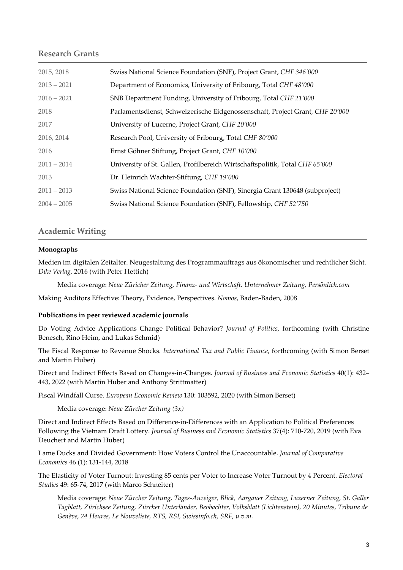### **Research Grants**

| 2015, 2018    | Swiss National Science Foundation (SNF), Project Grant, CHF 346'000           |
|---------------|-------------------------------------------------------------------------------|
| $2013 - 2021$ | Department of Economics, University of Fribourg, Total CHF 48'000             |
| $2016 - 2021$ | SNB Department Funding, University of Fribourg, Total CHF 21'000              |
| 2018          | Parlamentsdienst, Schweizerische Eidgenossenschaft, Project Grant, CHF 20'000 |
| 2017          | University of Lucerne, Project Grant, CHF 20'000                              |
| 2016, 2014    | Research Pool, University of Fribourg, Total CHF 80'000                       |
| 2016          | Ernst Göhner Stiftung, Project Grant, CHF 10'000                              |
| $2011 - 2014$ | University of St. Gallen, Profilbereich Wirtschaftspolitik, Total CHF 65'000  |
| 2013          | Dr. Heinrich Wachter-Stiftung, CHF 19'000                                     |
| $2011 - 2013$ | Swiss National Science Foundation (SNF), Sinergia Grant 130648 (subproject)   |
| $2004 - 2005$ | Swiss National Science Foundation (SNF), Fellowship, CHF 52'750               |

### **Academic Writing**

#### **Monographs**

Medien im digitalen Zeitalter. Neugestaltung des Programmauftrags aus ökonomischer und rechtlicher Sicht. *Dike Verlag*, 2016 (with Peter Hettich)

Media coverage: *Neue Züricher Zeitung, Finanz- und Wirtschaft, Unternehmer Zeitung, Persönlich.com*

Making Auditors Effective: Theory, Evidence, Perspectives. *Nomos*, Baden-Baden, 2008

#### **Publications in peer reviewed academic journals**

Do Voting Advice Applications Change Political Behavior? *Journal of Politics*, forthcoming (with Christine Benesch, Rino Heim, and Lukas Schmid)

The Fiscal Response to Revenue Shocks. *International Tax and Public Finance*, forthcoming (with Simon Berset and Martin Huber)

Direct and Indirect Effects Based on Changes-in-Changes. *Journal of Business and Economic Statistics* 40(1): 432– 443, 2022 (with Martin Huber and Anthony Strittmatter)

Fiscal Windfall Curse. *European Economic Review* 130: 103592, 2020 (with Simon Berset)

Media coverage: *Neue Zürcher Zeitung (3x)*

Direct and Indirect Effects Based on Difference-in-Differences with an Application to Political Preferences Following the Vietnam Draft Lottery. *Journal of Business and Economic Statistics* 37(4): 710-720, 2019 (with Eva Deuchert and Martin Huber)

Lame Ducks and Divided Government: How Voters Control the Unaccountable. *Journal of Comparative Economics* 46 (1): 131-144, 2018

The Elasticity of Voter Turnout: Investing 85 cents per Voter to Increase Voter Turnout by 4 Percent. *Electoral Studies* 49: 65-74, 2017 (with Marco Schneiter)

Media coverage: *Neue Zürcher Zeitung, Tages-Anzeiger, Blick, Aargauer Zeitung, Luzerner Zeitung, St. Galler Tagblatt, Zürichsee Zeitung, Zürcher Unterländer, Beobachter, Volksblatt (Lichtenstein), 20 Minutes, Tribune de Genève, 24 Heures, Le Nouveliste, RTS, RSI, Swissinfo.ch, SRF, u.v.m.*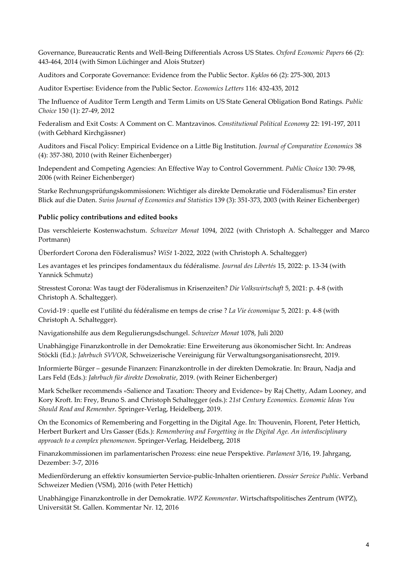Governance, Bureaucratic Rents and Well-Being Differentials Across US States. *Oxford Economic Papers* 66 (2): 443-464, 2014 (with Simon Lüchinger and Alois Stutzer)

Auditors and Corporate Governance: Evidence from the Public Sector. *Kyklos* 66 (2): 275-300, 2013

Auditor Expertise: Evidence from the Public Sector. *Economics Letters* 116: 432-435, 2012

The Influence of Auditor Term Length and Term Limits on US State General Obligation Bond Ratings. *Public Choice* 150 (1): 27-49, 2012

Federalism and Exit Costs: A Comment on C. Mantzavinos. *Constitutional Political Economy* 22: 191-197, 2011 (with Gebhard Kirchgässner)

Auditors and Fiscal Policy: Empirical Evidence on a Little Big Institution. *Journal of Comparative Economics* 38 (4): 357-380, 2010 (with Reiner Eichenberger)

Independent and Competing Agencies: An Effective Way to Control Government. *Public Choice* 130: 79-98, 2006 (with Reiner Eichenberger)

Starke Rechnungsprüfungskommissionen: Wichtiger als direkte Demokratie und Föderalismus? Ein erster Blick auf die Daten. *Swiss Journal of Economics and Statistics* 139 (3): 351-373, 2003 (with Reiner Eichenberger)

### **Public policy contributions and edited books**

Das verschleierte Kostenwachstum. *Schweizer Monat* 1094, 2022 (with Christoph A. Schaltegger and Marco Portmann)

Überfordert Corona den Föderalismus? *WiSt* 1-2022, 2022 (with Christoph A. Schaltegger)

Les avantages et les principes fondamentaux du fédéralisme. *Journal des Libertés* 15, 2022: p. 13-34 (with Yannick Schmutz)

Stresstest Corona: Was taugt der Föderalismus in Krisenzeiten? *Die Volkswirtschaft* 5, 2021: p. 4-8 (with Christoph A. Schaltegger).

Covid-19 : quelle est l'utilité du fédéralisme en temps de crise ? *La Vie économique* 5, 2021: p. 4-8 (with Christoph A. Schaltegger).

Navigationshilfe aus dem Regulierungsdschungel. *Schweizer Monat* 1078, Juli 2020

Unabhängige Finanzkontrolle in der Demokratie: Eine Erweiterung aus ökonomischer Sicht. In: Andreas Stöckli (Ed.): *Jahrbuch SVVOR*, Schweizerische Vereinigung für Verwaltungsorganisationsrecht, 2019.

Informierte Bürger – gesunde Finanzen: Finanzkontrolle in der direkten Demokratie. In: Braun, Nadja and Lars Feld (Eds.): *Jahrbuch für direkte Demokratie*, 2019. (with Reiner Eichenberger)

Mark Schelker recommends «Salience and Taxation: Theory and Evidence» by Raj Chetty, Adam Looney, and Kory Kroft. In: Frey, Bruno S. and Christoph Schaltegger (eds.): *21st Century Economics. Economic Ideas You Should Read and Remember*. Springer-Verlag, Heidelberg, 2019.

On the Economics of Remembering and Forgetting in the Digital Age. In: Thouvenin, Florent, Peter Hettich, Herbert Burkert and Urs Gasser (Eds.): *Remembering and Forgetting in the Digital Age. An interdisciplinary approach to a complex phenomenon*. Springer-Verlag, Heidelberg, 2018

Finanzkommissionen im parlamentarischen Prozess: eine neue Perspektive. *Parlament* 3/16, 19. Jahrgang, Dezember: 3-7, 2016

Medienförderung an effektiv konsumierten Service-public-Inhalten orientieren. *Dossier Service Public*. Verband Schweizer Medien (VSM), 2016 (with Peter Hettich)

Unabhängige Finanzkontrolle in der Demokratie. *WPZ Kommentar*. Wirtschaftspolitisches Zentrum (WPZ), Universität St. Gallen. Kommentar Nr. 12, 2016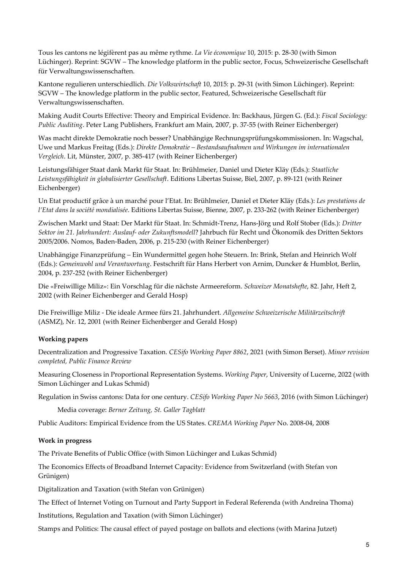Tous les cantons ne légifèrent pas au même rythme. *La Vie économique* 10, 2015: p. 28-30 (with Simon Lüchinger). Reprint: SGVW – The knowledge platform in the public sector, Focus, Schweizerische Gesellschaft für Verwaltungswissenschaften.

Kantone regulieren unterschiedlich. *Die Volkswirtschaft* 10, 2015: p. 29-31 (with Simon Lüchinger). Reprint: SGVW – The knowledge platform in the public sector, Featured, Schweizerische Gesellschaft für Verwaltungswissenschaften.

Making Audit Courts Effective: Theory and Empirical Evidence. In: Backhaus, Jürgen G. (Ed.): *Fiscal Sociology: Public Auditing*. Peter Lang Publishers, Frankfurt am Main, 2007, p. 37-55 (with Reiner Eichenberger)

Was macht direkte Demokratie noch besser? Unabhängige Rechnungsprüfungskommissionen. In: Wagschal, Uwe und Markus Freitag (Eds.): *Direkte Demokratie – Bestandsaufnahmen und Wirkungen im internationalen Vergleich*. Lit, Münster, 2007, p. 385-417 (with Reiner Eichenberger)

Leistungsfähiger Staat dank Markt für Staat. In: Brühlmeier, Daniel und Dieter Kläy (Eds.): *Staatliche Leistungsfähigkeit in globalisierter Gesellschaft*. Editions Libertas Suisse, Biel, 2007, p. 89-121 (with Reiner Eichenberger)

Un Etat productif grâce à un marché pour l'Etat. In: Brühlmeier, Daniel et Dieter Kläy (Eds.): *Les prestations de l'Etat dans la société mondialisée*. Editions Libertas Suisse, Bienne, 2007, p. 233-262 (with Reiner Eichenberger)

Zwischen Markt und Staat: Der Markt für Staat. In: Schmidt-Trenz, Hans-Jörg und Rolf Stober (Eds.): *Dritter Sektor im 21. Jahrhundert: Auslauf- oder Zukunftsmodell*? Jahrbuch für Recht und Ökonomik des Dritten Sektors 2005/2006. Nomos, Baden-Baden, 2006, p. 215-230 (with Reiner Eichenberger)

Unabhängige Finanzprüfung – Ein Wundermittel gegen hohe Steuern. In: Brink, Stefan and Heinrich Wolf (Eds.): *Gemeinwohl und Verantwortung*. Festschrift für Hans Herbert von Arnim, Duncker & Humblot, Berlin, 2004, p. 237-252 (with Reiner Eichenberger)

Die «Freiwillige Miliz»: Ein Vorschlag für die nächste Armeereform. *Schweizer Monatshefte*, 82. Jahr, Heft 2, 2002 (with Reiner Eichenberger and Gerald Hosp)

Die Freiwillige Miliz - Die ideale Armee fürs 21. Jahrhundert. *Allgemeine Schweizerische Militärzeitschrift* (ASMZ), Nr. 12, 2001 (with Reiner Eichenberger and Gerald Hosp)

## **Working papers**

Decentralization and Progressive Taxation. *CESifo Working Paper 8862*, 2021 (with Simon Berset). *Minor revision completed, Public Finance Review*

Measuring Closeness in Proportional Representation Systems. *Working Paper*, University of Lucerne, 2022 (with Simon Lüchinger and Lukas Schmid)

Regulation in Swiss cantons: Data for one century. *CESifo Working Paper No 5663*, 2016 (with Simon Lüchinger)

Media coverage: *Berner Zeitung, St. Galler Tagblatt*

Public Auditors: Empirical Evidence from the US States. *CREMA Working Paper* No. 2008-04, 2008

## **Work in progress**

The Private Benefits of Public Office (with Simon Lüchinger and Lukas Schmid)

The Economics Effects of Broadband Internet Capacity: Evidence from Switzerland (with Stefan von Grünigen)

Digitalization and Taxation (with Stefan von Grünigen)

The Effect of Internet Voting on Turnout and Party Support in Federal Referenda (with Andreina Thoma)

Institutions, Regulation and Taxation (with Simon Lüchinger)

Stamps and Politics: The causal effect of payed postage on ballots and elections (with Marina Jutzet)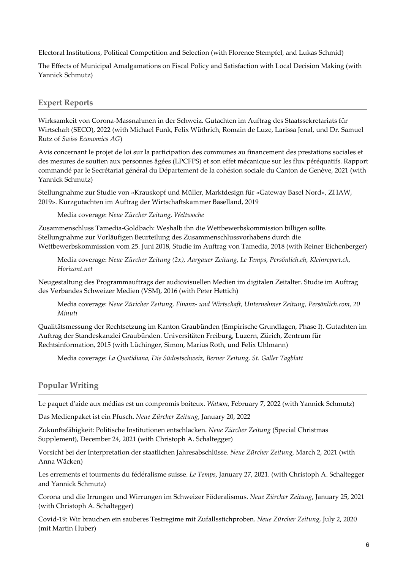Electoral Institutions, Political Competition and Selection (with Florence Stempfel, and Lukas Schmid)

The Effects of Municipal Amalgamations on Fiscal Policy and Satisfaction with Local Decision Making (with Yannick Schmutz)

## **Expert Reports**

Wirksamkeit von Corona-Massnahmen in der Schweiz. Gutachten im Auftrag des Staatssekretariats für Wirtschaft (SECO), 2022 (with Michael Funk, Felix Wüthrich, Romain de Luze, Larissa Jenal, und Dr. Samuel Rutz of *Swiss Economics AG*)

Avis concernant le projet de loi sur la participation des communes au financement des prestations sociales et des mesures de soutien aux personnes âgées (LPCFPS) et son effet mécanique sur les flux péréquatifs. Rapport commandé par le Secrétariat général du Département de la cohésion sociale du Canton de Genève, 2021 (with Yannick Schmutz)

Stellungnahme zur Studie von «Krauskopf und Müller, Marktdesign für «Gateway Basel Nord», ZHAW, 2019». Kurzgutachten im Auftrag der Wirtschaftskammer Baselland, 2019

Media coverage: *Neue Zürcher Zeitung, Weltwoche*

Zusammenschluss Tamedia-Goldbach: Weshalb ihn die Wettbewerbskommission billigen sollte. Stellungnahme zur Vorläufigen Beurteilung des Zusammenschlussvorhabens durch die Wettbewerbskommission vom 25. Juni 2018, Studie im Auftrag von Tamedia, 2018 (with Reiner Eichenberger)

Media coverage: *Neue Zürcher Zeitung (2x), Aargauer Zeitung, Le Temps, Persönlich.ch, Kleinreport.ch, Horizont.net*

Neugestaltung des Programmauftrags der audiovisuellen Medien im digitalen Zeitalter. Studie im Auftrag des Verbandes Schweizer Medien (VSM), 2016 (with Peter Hettich)

Media coverage: *Neue Züricher Zeitung, Finanz- und Wirtschaft, Unternehmer Zeitung, Persönlich.com, 20 Minuti*

Qualitätsmessung der Rechtsetzung im Kanton Graubünden (Empirische Grundlagen, Phase I). Gutachten im Auftrag der Standeskanzlei Graubünden. Universitäten Freiburg, Luzern, Zürich, Zentrum für Rechtsinformation, 2015 (with Lüchinger, Simon, Marius Roth, und Felix Uhlmann)

Media coverage: *La Quotidiana, Die Südostschweiz, Berner Zeitung, St. Galler Tagblatt*

## **Popular Writing**

Le paquet d'aide aux médias est un compromis boiteux. *Watson*, February 7, 2022 (with Yannick Schmutz)

Das Medienpaket ist ein Pfusch. *Neue Zürcher Zeitung*, January 20, 2022

Zukunftsfähigkeit: Politische Institutionen entschlacken. *Neue Zürcher Zeitung* (Special Christmas Supplement), December 24, 2021 (with Christoph A. Schaltegger)

Vorsicht bei der Interpretation der staatlichen Jahresabschlüsse. *Neue Zürcher Zeitung*, March 2, 2021 (with Anna Wäcken)

Les errements et tourments du fédéralisme suisse. *Le Temps*, January 27, 2021. (with Christoph A. Schaltegger and Yannick Schmutz)

Corona und die Irrungen und Wirrungen im Schweizer Föderalismus. *Neue Zürcher Zeitung*, January 25, 2021 (with Christoph A. Schaltegger)

Covid-19: Wir brauchen ein sauberes Testregime mit Zufallsstichproben. *Neue Zürcher Zeitung*, July 2, 2020 (mit Martin Huber)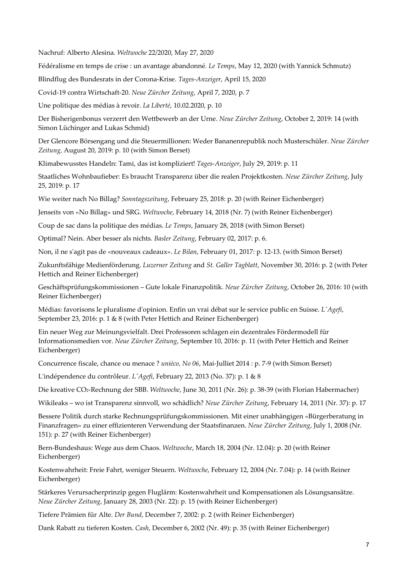Nachruf: Alberto Alesina. *Weltwoche* 22/2020, May 27, 2020

Fédéralisme en temps de crise : un avantage abandonné. *Le Temps*, May 12, 2020 (with Yannick Schmutz)

Blindflug des Bundesrats in der Corona-Krise. *Tages-Anzeiger*, April 15, 2020

Covid-19 contra Wirtschaft-20. *Neue Zürcher Zeitung*, April 7, 2020, p. 7

Une politique des médias à revoir. *La Liberté*, 10.02.2020, p. 10

Der Bisherigenbonus verzerrt den Wettbewerb an der Urne. *Neue Zürcher Zeitung*, October 2, 2019: 14 (with Simon Lüchinger and Lukas Schmid)

Der Glencore Börsengang und die Steuermillionen: Weder Bananenrepublik noch Musterschüler. *Neue Zürcher Zeitung*, August 20, 2019: p. 10 (with Simon Berset)

Klimabewusstes Handeln: Tami, das ist kompliziert! *Tages-Anzeiger*, July 29, 2019: p. 11

Staatliches Wohnbaufieber: Es braucht Transparenz über die realen Projektkosten. *Neue Zürcher Zeitung*, July 25, 2019: p. 17

Wie weiter nach No Billag? *Sonntagszeitung*, February 25, 2018: p. 20 (with Reiner Eichenberger)

Jenseits von «No Billag» und SRG. *Weltwoche*, February 14, 2018 (Nr. 7) (with Reiner Eichenberger)

Coup de sac dans la politique des médias. *Le Temps*, January 28, 2018 (with Simon Berset)

Optimal? Nein. Aber besser als nichts*. Basler Zeitung*, February 02, 2017: p. 6.

Non, il ne s'agit pas de «nouveaux cadeaux». *Le Bilan*, February 01, 2017: p. 12-13. (with Simon Berset)

Zukunftsfähige Medienförderung. *Luzerner Zeitung* and *St. Galler Tagblatt*, November 30, 2016: p. 2 (with Peter Hettich and Reiner Eichenberger)

Geschäftsprüfungskommissionen – Gute lokale Finanzpolitik. *Neue Zürcher Zeitung*, October 26, 2016: 10 (with Reiner Eichenberger)

Médias: favorisons le pluralisme d'opinion. Enfin un vrai débat sur le service public en Suisse. *L'Agefi*, September 23, 2016: p. 1 & 8 (with Peter Hettich and Reiner Eichenberger)

Ein neuer Weg zur Meinungsvielfalt. Drei Professoren schlagen ein dezentrales Fördermodell für Informationsmedien vor. *Neue Zürcher Zeitung*, September 10, 2016: p. 11 (with Peter Hettich and Reiner Eichenberger)

Concurrence fiscale, chance ou menace ? *uniéco, No 06*, Mai-Julliet 2014 : p. 7-9 (with Simon Berset)

L'indépendence du contrôleur. *L'Agefi*, February 22, 2013 (No. 37): p. 1 & 8

Die kreative CO2-Rechnung der SBB. *Weltwoche*, June 30, 2011 (Nr. 26): p. 38-39 (with Florian Habermacher)

Wikileaks – wo ist Transparenz sinnvoll, wo schädlich? *Neue Zürcher Zeitung*, February 14, 2011 (Nr. 37): p. 17

Bessere Politik durch starke Rechnungsprüfungskommissionen. Mit einer unabhängigen «Bürgerberatung in Finanzfragen» zu einer effizienteren Verwendung der Staatsfinanzen. *Neue Zürcher Zeitung*, July 1, 2008 (Nr. 151): p. 27 (with Reiner Eichenberger)

Bern-Bundeshaus: Wege aus dem Chaos. *Weltwoche*, March 18, 2004 (Nr. 12.04): p. 20 (with Reiner Eichenberger)

Kostenwahrheit: Freie Fahrt, weniger Steuern. *Weltwoche*, February 12, 2004 (Nr. 7.04): p. 14 (with Reiner Eichenberger)

Stärkeres Verursacherprinzip gegen Fluglärm: Kostenwahrheit und Kompensationen als Lösungsansätze. *Neue Zürcher Zeitung*, January 28, 2003 (Nr. 22): p. 15 (with Reiner Eichenberger)

Tiefere Prämien für Alte. *Der Bund*, December 7, 2002: p. 2 (with Reiner Eichenberger)

Dank Rabatt zu tieferen Kosten. *Cash*, December 6, 2002 (Nr. 49): p. 35 (with Reiner Eichenberger)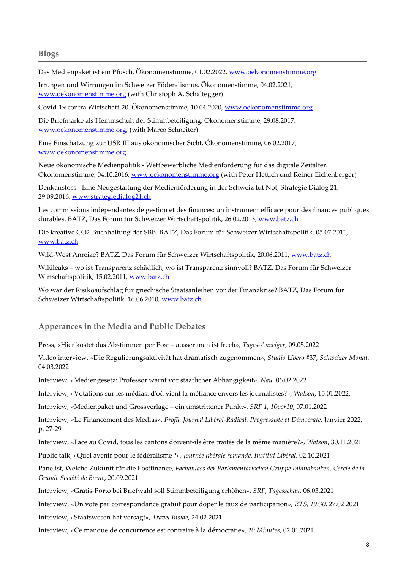#### **Blogs**

Das Medienpaket ist ein Pfusch. Ökonomenstimme, 01.02.2022, [www.oekonomenstimme.org](http://www.oekonomenstimme.org/)

Irrungen und Wirrungen im Schweizer Föderalismus. Ökonomenstimme, 04.02.2021, [www.oekonomenstimme.org](http://www.oekonomenstimme.org/) (with Christoph A. Schaltegger)

Covid-19 contra Wirtschaft-20. Ökonomenstimme, 10.04.2020, [www.oekonomenstimme.org](http://www.oekonomenstimme.org/)

Die Briefmarke als Hemmschuh der Stimmbeteiligung. Ökonomenstimme, 29.08.2017, [www.oekonomenstimme.org,](http://www.oekonomenstimme.org/) (with Marco Schneiter)

Eine Einschätzung zur USR III aus ökonomischer Sicht. Ökonomenstimme, 06.02.2017, [www.oekonomenstimme.org](http://www.oekonomenstimme.org/)

Neue ökonomische Medienpolitik - Wettbewerbliche Medienförderung für das digitale Zeitalter. Ökonomenstimme, 04.10.2016, [www.oekonomenstimme.org](http://www.oekonomenstimme.org/) (with Peter Hettich und Reiner Eichenberger)

Denkanstoss - Eine Neugestaltung der Medienförderung in der Schweiz tut Not, Strategie Dialog 21, 29.09.2016[, www.strategiedialog21.ch](http://www.strategiedialog21.ch/)

Les commissions indépendantes de gestion et des finances: un instrument efficace pour des finances publiques durables. BATZ, Das Forum für Schweizer Wirtschaftspolitik, 26.02.2013, [www.batz.ch](http://www.batz.ch/)

Die kreative CO2-Buchhaltung der SBB. BATZ, Das Forum für Schweizer Wirtschaftspolitik, 05.07.2011, [www.batz.ch](http://www.batz.ch/)

Wild-West Anreize? BATZ, Das Forum für Schweizer Wirtschaftspolitik, 20.06.2011, [www.batz.ch](http://www.batz.ch/)

Wikileaks – wo ist Transparenz schädlich, wo ist Transparenz sinnvoll? BATZ, Das Forum für Schweizer Wirtschaftspolitik, 15.02.2011, [www.batz.ch](http://www.batz.ch/)

Wo war der Risikoaufschlag für griechische Staatsanleihen vor der Finanzkrise? BATZ, Das Forum für Schweizer Wirtschaftspolitik, 16.06.2010, [www.batz.ch](http://www.batz.ch/)

### **Apperances in the Media and Public Debates**

Press, «Hier kostet das Abstimmen per Post – ausser man ist frech», *Tages-Anzeiger*, 09.05.2022

Video interview, «Die Regulierungsaktivität hat dramatisch zugenommen», *Studio Libero* #37, *Schweizer Monat*, 04.03.2022

Interview, «Mediengesetz: Professor warnt vor staatlicher Abhängigkeit», *Nau*, 06.02.2022

Interview, «Votations sur les médias: d'où vient la méfiance envers les journalistes?», *Watson*, 15.01.2022.

Interview, «Medienpaket und Grossverlage – ein umstrittener Punkt», *SRF 1*, *10vor10*, 07.01.2022

Interview, «Le Financement des Médias», *Profil, Journal Libéral-Radical, Progressiste et Démocrate*, Janvier 2022, p. 27-29

Interview, «Face au Covid, tous les cantons doivent-ils être traités de la même manière?», *Watson*, 30.11.2021

Public talk, «Quel avenir pour le fédéralisme ?», *Journée libérale romande, Institut Libéral*, 02.10.2021

Panelist, Welche Zukunft für die Postfinance, *Fachanlass der Parlamentarischen Gruppe Inlandbanken, Cercle de la Grande Société de Berne*, 20.09.2021

Interview, «Gratis-Porto bei Briefwahl soll Stimmbeteiligung erhöhen», *SRF, Tagesschau*, 06.03.2021

Interview, «Un vote par correspondance gratuit pour doper le taux de participation», *RTS, 19:30*, 27.02.2021

Interview, «Staatswesen hat versagt», *Travel Inside*, 24.02.2021

Interview, «Ce manque de concurrence est contraire à la démocratie», *20 Minutes*, 02.01.2021.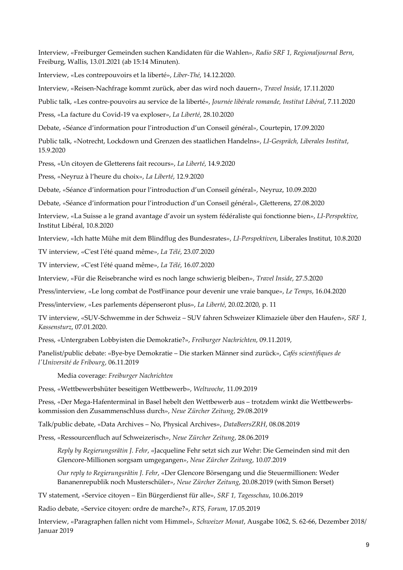Interview, «Freiburger Gemeinden suchen Kandidaten für die Wahlen», *Radio SRF 1, Regionaljournal Bern*, Freiburg, Wallis, 13.01.2021 (ab 15:14 Minuten).

Interview, «Les contrepouvoirs et la liberté», *Liber-Thé*, 14.12.2020.

Interview, «Reisen-Nachfrage kommt zurück, aber das wird noch dauern», *Travel Inside*, 17.11.2020

Public talk, «Les contre-pouvoirs au service de la liberté», *Journée libérale romande, Institut Libéral*, 7.11.2020

Press, «La facture du Covid-19 va exploser», *La Liberté*, 28.10.2020

Debate, «Séance d'information pour l'introduction d'un Conseil général», Courtepin, 17.09.2020

Public talk, «Notrecht, Lockdown und Grenzen des staatlichen Handelns», *LI-Gespräch, Liberales Institut*, 15.9.2020

Press, «Un citoyen de Gletterens fait recours», *La Liberté*, 14.9.2020

Press, «Neyruz à l'heure du choix», *La Liberté*, 12.9.2020

Debate, «Séance d'information pour l'introduction d'un Conseil général», Neyruz, 10.09.2020

Debate, «Séance d'information pour l'introduction d'un Conseil général», Gletterens, 27.08.2020

Interview, «La Suisse a le grand avantage d'avoir un system fédéraliste qui fonctionne bien», *LI-Perspektive*, Institut Libéral, 10.8.2020

Interview, «Ich hatte Mühe mit dem Blindflug des Bundesrates», *LI-Perspektiven*, Liberales Institut, 10.8.2020

TV interview, «C'est l'été quand même», *La Télé*, 23.07.2020

TV interview, «C'est l'été quand même», *La Télé*, 16.07.2020

Interview, «Für die Reisebranche wird es noch lange schwierig bleiben», *Travel Inside*, 27.5.2020

Press/interview, «Le long combat de PostFinance pour devenir une vraie banque», *Le Temps*, 16.04.2020

Press/interview, «Les parlements dépenseront plus», *La Liberté*, 20.02.2020, p. 11

TV interview, «SUV-Schwemme in der Schweiz – SUV fahren Schweizer Klimaziele über den Haufen», *SRF 1, Kassensturz*, 07.01.2020.

Press, «Untergraben Lobbyisten die Demokratie?», *Freiburger Nachrichten*, 09.11.2019,

Panelist/public debate: «Bye-bye Demokratie – Die starken Männer sind zurück», *Cafés scientifiques de l'Université de Fribourg*, 06.11.2019

Media coverage: *Freiburger Nachrichten*

Press, «Wettbewerbshüter beseitigen Wettbewerb», *Weltwoche*, 11.09.2019

Press, «Der Mega-Hafenterminal in Basel hebelt den Wettbewerb aus – trotzdem winkt die Wettbewerbskommission den Zusammenschluss durch», *Neue Zürcher Zeitung*, 29.08.2019

Talk/public debate, «Data Archives – No, Physical Archives», *DataBeersZRH*, 08.08.2019

Press, «Ressourcenfluch auf Schweizerisch», *Neue Zürcher Zeitung*, 28.06.2019

*Reply by Regierungsrätin J. Fehr*, «Jacqueline Fehr setzt sich zur Wehr: Die Gemeinden sind mit den Glencore-Millionen sorgsam umgegangen», *Neue Zürcher Zeitung*, 10.07.2019

*Our reply to Regierungsrätin J. Fehr*, «Der Glencore Börsengang und die Steuermillionen: Weder Bananenrepublik noch Musterschüler», *Neue Zürcher Zeitung*, 20.08.2019 (with Simon Berset)

TV statement, «Service citoyen – Ein Bürgerdienst für alle», *SRF 1, Tagesschau*, 10.06.2019

Radio debate, «Service citoyen: ordre de marche?», *RTS, Forum*, 17.05.2019

Interview, «Paragraphen fallen nicht vom Himmel», *Schweizer Monat*, Ausgabe 1062, S. 62-66, Dezember 2018/ Januar 2019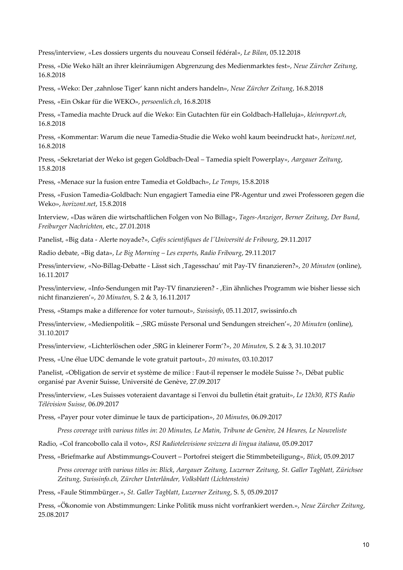Press/interview, «Les dossiers urgents du nouveau Conseil fédéral», *Le Bilan*, 05.12.2018

Press, «Die Weko hält an ihrer kleinräumigen Abgrenzung des Medienmarktes fest», *Neue Zürcher Zeitung*, 16.8.2018

Press, «Weko: Der 'zahnlose Tiger' kann nicht anders handeln», *Neue Zürcher Zeitung*, 16.8.2018

Press, «Ein Oskar für die WEKO», *persoenlich.ch*, 16.8.2018

Press, «Tamedia machte Druck auf die Weko: Ein Gutachten für ein Goldbach-Halleluja», *kleinreport.ch*, 16.8.2018

Press, «Kommentar: Warum die neue Tamedia-Studie die Weko wohl kaum beeindruckt hat», *horizont.net*, 16.8.2018

Press, «Sekretariat der Weko ist gegen Goldbach-Deal – Tamedia spielt Powerplay», *Aargauer Zeitung*, 15.8.2018

Press, «Menace sur la fusion entre Tamedia et Goldbach», *Le Temps*, 15.8.2018

Press, «Fusion Tamedia-Goldbach: Nun engagiert Tamedia eine PR-Agentur und zwei Professoren gegen die Weko», *horizont.net*, 15.8.2018

Interview, «Das wären die wirtschaftlichen Folgen von No Billag», *Tages-Anzeiger*, *Berner Zeitung*, *Der Bund*, *Freiburger Nachrichten*, etc., 27.01.2018

Panelist, «Big data - Alerte noyade?», *Cafés scientifiques de l'Université de Fribourg*, 29.11.2017

Radio debate, «Big data», *Le Big Morning – Les experts*, *Radio Fribourg*, 29.11.2017

Press/interview, «No-Billag-Debatte - Lässt sich 'Tagesschau' mit Pay-TV finanzieren?», *20 Minuten* (online), 16.11.2017

Press/interview, «Info-Sendungen mit Pay-TV finanzieren? - , Ein ähnliches Programm wie bisher liesse sich nicht finanzieren'», *20 Minuten,* S. 2 & 3, 16.11.2017

Press, «Stamps make a difference for voter turnout», *Swissinfo*, 05.11.2017, swissinfo.ch

Press/interview, «Medienpolitik – 'SRG müsste Personal und Sendungen streichen'«, *20 Minuten* (online), 31.10.2017

Press/interview, «Lichterlöschen oder 'SRG in kleinerer Form'?», *20 Minuten*, S. 2 & 3, 31.10.2017

Press, «Une élue UDC demande le vote gratuit partout», *20 minutes*, 03.10.2017

Panelist, «Obligation de servir et système de milice : Faut-il repenser le modèle Suisse ?», Débat public organisé par Avenir Suisse, Université de Genève, 27.09.2017

Press/interview, «Les Suisses voteraient davantage si l'envoi du bulletin était gratuit», *Le 12h30*, *RTS Radio Télévision Suisse,* 06.09.2017

Press, «Payer pour voter diminue le taux de participation», *20 Minutes*, 06.09.2017

*Press coverage with various titles in*: *20 Minutes, Le Matin, Tribune de Genève, 24 Heures, Le Nouveliste*

Radio, «Col francobollo cala il voto», *RSI Radiotelevisione svizzera di lingua italiana*, 05.09.2017

Press, «Briefmarke auf Abstimmungs-Couvert – Portofrei steigert die Stimmbeteiligung», *Blick*, 05.09.2017

*Press coverage with various titles in*: *Blick*, *Aargauer Zeitung, Luzerner Zeitung, St. Galler Tagblatt, Zürichsee Zeitung, Swissinfo.ch, Zürcher Unterländer, Volksblatt (Lichtenstein)*

Press, «Faule Stimmbürger.», *St. Galler Tagblatt*, *Luzerner Zeitung*, S. 5, 05.09.2017

Press, «Ökonomie von Abstimmungen: Linke Politik muss nicht vorfrankiert werden.», *Neue Zürcher Zeitung*, 25.08.2017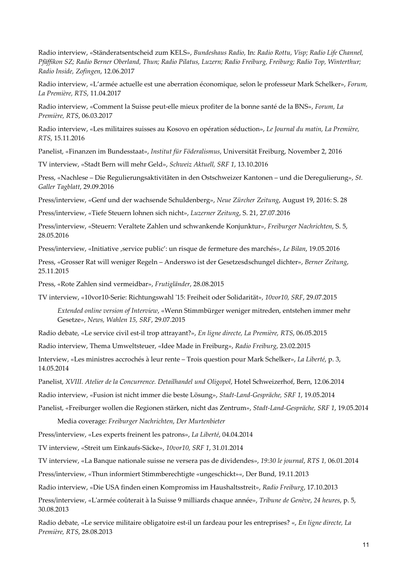Radio interview, «Ständeratsentscheid zum KELS», *Bundeshaus Radio,* In: *Radio Rottu, Visp; Radio Life Channel, Pfäffikon SZ; Radio Berner Oberland, Thun; Radio Pilatus, Luzern; Radio Freiburg, Freiburg; Radio Top, Winterthur; Radio Inside, Zofingen*, 12.06.2017

Radio interview, «L'armée actuelle est une aberration économique, selon le professeur Mark Schelker», *Forum, La Première, RTS*, 11.04.2017

Radio interview, «Comment la Suisse peut-elle mieux profiter de la bonne santé de la BNS», *Forum, La Première, RTS*, 06.03.2017

Radio interview, «Les militaires suisses au Kosovo en opération séduction», *Le Journal du matin, La Première, RTS*, 15.11.2016

Panelist, «Finanzen im Bundesstaat», *Institut für Föderalismus*, Universität Freiburg, November 2, 2016

TV interview, «Stadt Bern will mehr Geld», *Schweiz Aktuell, SRF 1*, 13.10.2016

Press, «Nachlese – Die Regulierungsaktivitäten in den Ostschweizer Kantonen – und die Deregulierung», *St. Galler Tagblatt*, 29.09.2016

Press/interview, «Genf und der wachsende Schuldenberg», *Neue Zürcher Zeitung*, August 19, 2016: S. 28

Press/interview, «Tiefe Steuern lohnen sich nicht», *Luzerner Zeitung*, S. 21, 27.07.2016

Press/interview, «Steuern: Veraltete Zahlen und schwankende Konjunktur», *Freiburger Nachrichten*, S. 5, 28.05.2016

Press/interview, «Initiative 'service public': un risque de fermeture des marchés», *Le Bilan*, 19.05.2016

Press, «Grosser Rat will weniger Regeln – Anderswo ist der Gesetzesdschungel dichter», *Berner Zeitung*, 25.11.2015

Press, «Rote Zahlen sind vermeidbar», *Frutigländer*, 28.08.2015

TV interview, «10vor10-Serie: Richtungswahl '15: Freiheit oder Solidarität», *10vor10, SRF*, 29.07.2015

*Extended online version of Interview*, «Wenn Stimmbürger weniger mitreden, entstehen immer mehr Gesetze», *News, Wahlen 15, SRF*, 29.07.2015

Radio debate, «Le service civil est-il trop attrayant?», *En ligne directe, La Première, RTS*, 06.05.2015

Radio interview, Thema Umweltsteuer, «Idee Made in Freiburg», *Radio Freiburg*, 23.02.2015

Interview, «Les ministres accrochés à leur rente – Trois question pour Mark Schelker», *La Liberté*, p. 3, 14.05.2014

Panelist, *XVIII. Atelier de la Concurrence. Detailhandel und Oligopol*, Hotel Schweizerhof, Bern, 12.06.2014

Radio interview, «Fusion ist nicht immer die beste Lösung», *Stadt-Land-Gespräche, SRF 1*, 19.05.2014

Panelist, «Freiburger wollen die Regionen stärken, nicht das Zentrum», *Stadt-Land-Gespräche, SRF 1*, 19.05.2014

Media coverage: *Freiburger Nachrichten*, *Der Murtenbieter*

Press/interview, «Les experts freinent les patrons», *La Liberté*, 04.04.2014

TV interview, «Streit um Einkaufs-Säcke», *10vor10, SRF 1*, 31.01.2014

TV interview, «La Banque nationale suisse ne versera pas de dividendes», *19:30 le journal*, *RTS 1,* 06.01.2014

Press/interview, «Thun informiert Stimmberechtigte «ungeschickt»«, Der Bund, 19.11.2013

Radio interview, «Die USA finden einen Kompromiss im Haushaltsstreit», *Radio Freiburg*, 17.10.2013

Press/interview, «L'armée coûterait à la Suisse 9 milliards chaque année», *Tribune de Genève*, *24 heures*, p. 5, 30.08.2013

Radio debate, «Le service militaire obligatoire est-il un fardeau pour les entreprises? «, *En ligne directe, La Première, RTS*, 28.08.2013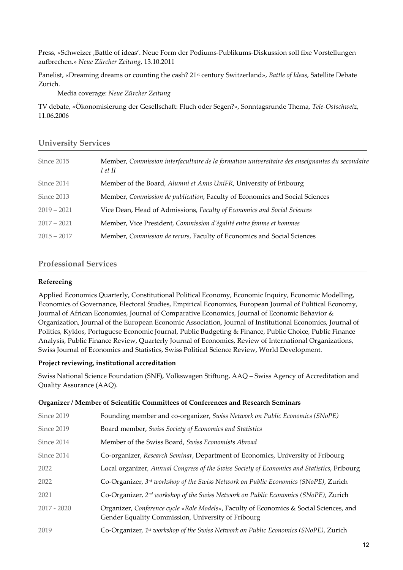Press, «Schweizer 'Battle of ideas'. Neue Form der Podiums-Publikums-Diskussion soll fixe Vorstellungen aufbrechen.» *Neue Zürcher Zeitung*, 13.10.2011

Panelist, «Dreaming dreams or counting the cash? 21st century Switzerland», *Battle of Ideas*, Satellite Debate Zurich.

Media coverage: *Neue Zürcher Zeitung*

TV debate, «Ökonomisierung der Gesellschaft: Fluch oder Segen?», Sonntagsrunde Thema, *Tele-Ostschweiz*, 11.06.2006

#### **University Services**

| Since 2015    | Member, Commission interfacultaire de la formation universitaire des enseignantes du secondaire<br>I et II |
|---------------|------------------------------------------------------------------------------------------------------------|
| Since 2014    | Member of the Board, Alumni et Amis UniFR, University of Fribourg                                          |
| Since 2013    | Member, Commission de publication, Faculty of Economics and Social Sciences                                |
| $2019 - 2021$ | Vice Dean, Head of Admissions, Faculty of Economics and Social Sciences                                    |
| $2017 - 2021$ | Member, Vice President, Commission d'égalité entre femme et hommes                                         |
| $2015 - 2017$ | Member, Commission de recurs, Faculty of Economics and Social Sciences                                     |

## **Professional Services**

#### **Refereeing**

Applied Economics Quarterly, Constitutional Political Economy, Economic Inquiry, Economic Modelling, Economics of Governance, Electoral Studies, Empirical Economics, European Journal of Political Economy, Journal of African Economies, Journal of Comparative Economics, Journal of Economic Behavior & Organization, Journal of the European Economic Association, Journal of Institutional Economics, Journal of Politics, Kyklos, Portuguese Economic Journal, Public Budgeting & Finance, Public Choice, Public Finance Analysis, Public Finance Review, Quarterly Journal of Economics, Review of International Organizations, Swiss Journal of Economics and Statistics, Swiss Political Science Review, World Development.

#### **Project reviewing, institutional accreditation**

Swiss National Science Foundation (SNF), Volkswagen Stiftung, AAQ – Swiss Agency of Accreditation and Quality Assurance (AAQ).

#### **Organizer / Member of Scientific Committees of Conferences and Research Seminars**

| Since 2019    | Founding member and co-organizer, Swiss Network on Public Economics (SNoPE)                                                                  |
|---------------|----------------------------------------------------------------------------------------------------------------------------------------------|
| Since 2019    | Board member, Swiss Society of Economics and Statistics                                                                                      |
| Since 2014    | Member of the Swiss Board, Swiss Economists Abroad                                                                                           |
| Since 2014    | Co-organizer, Research Seminar, Department of Economics, University of Fribourg                                                              |
| 2022          | Local organizer, Annual Congress of the Swiss Society of Economics and Statistics, Fribourg                                                  |
| 2022          | Co-Organizer, $3^{rd}$ workshop of the Swiss Network on Public Economics (SNoPE), Zurich                                                     |
| 2021          | Co-Organizer, 2 <sup>nd</sup> workshop of the Swiss Network on Public Economics (SNoPE), Zurich                                              |
| $2017 - 2020$ | Organizer, Conference cycle «Role Models», Faculty of Economics & Social Sciences, and<br>Gender Equality Commission, University of Fribourg |
| 2019          | Co-Organizer, 1st workshop of the Swiss Network on Public Economics (SNoPE), Zurich                                                          |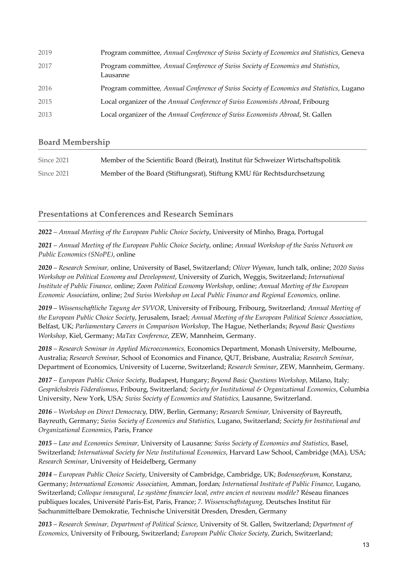| 2019 | Program committee, Annual Conference of Swiss Society of Economics and Statistics, Geneva      |
|------|------------------------------------------------------------------------------------------------|
| 2017 | Program committee, Annual Conference of Swiss Society of Economics and Statistics,<br>Lausanne |
| 2016 | Program committee, Annual Conference of Swiss Society of Economics and Statistics, Lugano      |
| 2015 | Local organizer of the Annual Conference of Swiss Economists Abroad, Fribourg                  |
| 2013 | Local organizer of the Annual Conference of Swiss Economists Abroad, St. Gallen                |

## **Board Membership**

| Since 2021 | Member of the Scientific Board (Beirat), Institut für Schweizer Wirtschaftspolitik |
|------------|------------------------------------------------------------------------------------|
| Since 2021 | Member of the Board (Stiftungsrat), Stiftung KMU für Rechtsdurchsetzung            |

**Presentations at Conferences and Research Seminars** 

*2022 – Annual Meeting of the European Public Choice Society*, University of Minho, Braga, Portugal

*2021 – Annual Meeting of the European Public Choice Society*, online; *Annual Workshop of the Swiss Network on Public Economics (SNoPE)*, online

*2020 – Research Seminar,* online, University of Basel, Switzerland; *Oliver Wyman*, lunch talk, online; *2020 Swiss Workshop on Political Economy and Development*, University of Zurich, Weggis, Switzerland; *International Institute of Public Finance,* online; *Zoom Political Economy Workshop*, online; *Annual Meeting of the European Economic Association*, online; *2nd Swiss Workshop on Local Public Finance and Regional Economics,* online.

*2019 – Wissenschaftliche Tagung der SVVOR*, University of Fribourg, Fribourg, Switzerland*; Annual Meeting of the European Public Choice Society*, Jerusalem, Israel; *Annual Meeting of the European Political Science Association*, Belfast, UK; *Parliamentary Careers in Comparison Workshop*, The Hague, Netherlands; *Beyond Basic Questions Workshop*, Kiel, Germany; *MaTax Conference*, ZEW, Mannheim, Germany.

*2018 – Research Seminar in Applied Microeconomics,* Economics Department, Monash University, Melbourne, Australia; *Research Seminar,* School of Economics and Finance, QUT, Brisbane, Australia; *Research Seminar*, Department of Economics, University of Lucerne, Switzerland; *Research Seminar*, ZEW, Mannheim, Germany.

*2017 – European Public Choice Society*, Budapest, Hungary; *Beyond Basic Questions Workshop*, Milano, Italy*; Gesprächskreis Föderalismus*, Fribourg, Switzerland*; Society for Institutional & Organizational Economics*, Columbia University, New York, USA*; Swiss Society of Economics and Statistics,* Lausanne, Switzerland.

*2016 – Workshop on Direct Democracy,* DIW, Berlin, Germany; *Research Seminar,* University of Bayreuth, Bayreuth, Germany; *Swiss Society of Economics and Statistics,* Lugano, Switzerland; *Society for Institutional and Organizational Economics*, Paris, France

*2015 – Law and Economics Seminar,* University of Lausanne*; Swiss Society of Economics and Statistics,* Basel, Switzerland*; International Society for New Institutional Economics*, Harvard Law School, Cambridge (MA), USA; *Research Seminar*, University of Heidelberg, Germany

*2014 – European Public Choice Society*, University of Cambridge, Cambridge, UK; *Bodenseeforum*, Konstanz, Germany; *International Economic Association*, Amman, Jordan*; International Institute of Public Finance,* Lugano, Switzerland; *Colloque innaugural, Le système financier local, entre ancien et nouveau modèle?* Réseau finances publiques locales, Université Paris-Est, Paris, France; *7. Wissenschaftstagung,* Deutsches Institut für Sachunmittelbare Demokratie, Technische Universität Dresden, Dresden, Germany

*2013 – Research Seminar, Department of Political Science*, University of St. Gallen, Switzerland; *Department of Economics,* University of Fribourg, Switzerland; *European Public Choice Society*, Zurich, Switzerland;